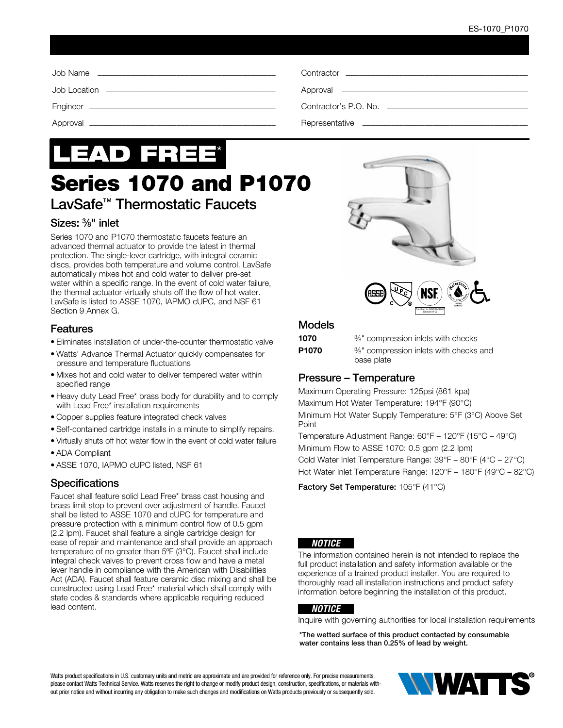# LEAD FREE\*

## Series 1070 and P1070

### LavSafe™ Thermostatic Faucets

#### Sizes: 3⁄8" inlet

Series 1070 and P1070 thermostatic faucets feature an advanced thermal actuator to provide the latest in thermal protection. The single-lever cartridge, with integral ceramic discs, provides both temperature and volume control. LavSafe automatically mixes hot and cold water to deliver pre-set water within a specific range. In the event of cold water failure, the thermal actuator virtually shuts off the flow of hot water. LavSafe is listed to ASSE 1070, IAPMO cUPC, and NSF 61 Section 9 Annex G.

#### **Features**

- Eliminates installation of under-the-counter thermostatic valve
- Watts' Advance Thermal Actuator quickly compensates for pressure and temperature fluctuations
- Mixes hot and cold water to deliver tempered water within specified range
- Heavy duty Lead Free\* brass body for durability and to comply with Lead Free\* installation requirements
- Copper supplies feature integrated check valves
- Self-contained cartridge installs in a minute to simplify repairs.
- Virtually shuts off hot water flow in the event of cold water failure
- ADA Compliant
- ASSE 1070, IAPMO cUPC listed, NSF 61

#### **Specifications**

Faucet shall feature solid Lead Free\* brass cast housing and brass limit stop to prevent over adjustment of handle. Faucet shall be listed to ASSE 1070 and cUPC for temperature and pressure protection with a minimum control flow of 0.5 gpm (2.2 lpm). Faucet shall feature a single cartridge design for ease of repair and maintenance and shall provide an approach temperature of no greater than 5ºF (3°C). Faucet shall include integral check valves to prevent cross flow and have a metal lever handle in compliance with the American with Disabilities Act (ADA). Faucet shall feature ceramic disc mixing and shall be constructed using Lead Free\* material which shall comply with state codes & standards where applicable requiring reduced lead content.





#### Models

1070 <sup>3/8"</sup> compression inlets with checks **P1070** <sup>3/8</sup> compression inlets with checks and

## base plate

#### Pressure – Temperature

Maximum Operating Pressure: 125psi (861 kpa) Maximum Hot Water Temperature: 194°F (90°C) Minimum Hot Water Supply Temperature: 5°F (3°C) Above Set Point

Temperature Adjustment Range: 60°F – 120°F (15°C – 49°C) Minimum Flow to ASSE 1070: 0.5 gpm (2.2 lpm) Cold Water Inlet Temperature Range: 39°F – 80°F (4°C – 27°C) Hot Water Inlet Temperature Range: 120°F – 180°F (49°C – 82°C)

Factory Set Temperature: 105°F (41°C)

#### *NOTICE*

The information contained herein is not intended to replace the full product installation and safety information available or the experience of a trained product installer. You are required to thoroughly read all installation instructions and product safety information before beginning the installation of this product.

#### *NOTICE*

Inquire with governing authorities for local installation requirements

\*The wetted surface of this product contacted by consumable water contains less than 0.25% of lead by weight.

Watts product specifications in U.S. customary units and metric are approximate and are provided for reference only. For precise measurements, please contact Watts Technical Service. Watts reserves the right to change or modify product design, construction, specifications, or materials without prior notice and without incurring any obligation to make such changes and modifications on Watts products previously or subsequently sold.